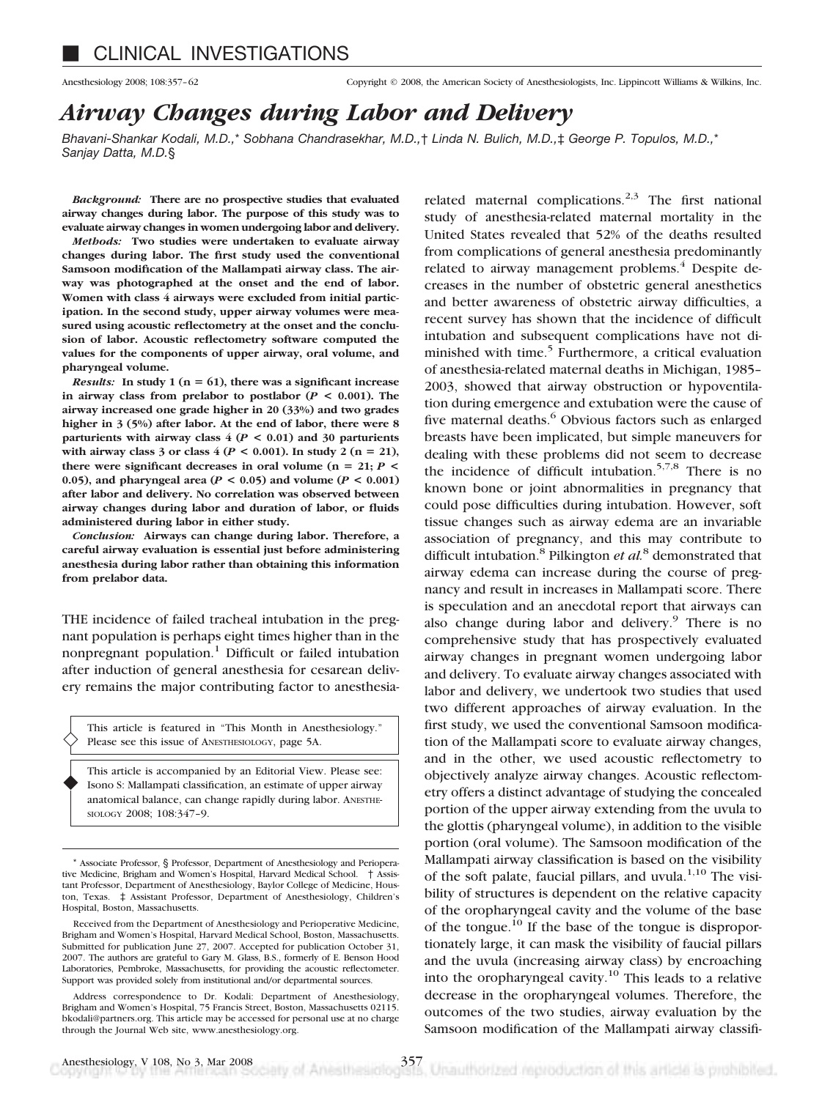Anesthesiology 2008; 108:357–62 Copyright © 2008, the American Society of Anesthesiologists, Inc. Lippincott Williams & Wilkins, Inc.

# *Airway Changes during Labor and Delivery*

*Bhavani-Shankar Kodali, M.D.,*\* *Sobhana Chandrasekhar, M.D.,*† *Linda N. Bulich, M.D.,*‡ *George P. Topulos, M.D.,*\* *Sanjay Datta, M.D.*§

*Background:* **There are no prospective studies that evaluated airway changes during labor. The purpose of this study was to evaluate airway changes in women undergoing labor and delivery.**

*Methods:* **Two studies were undertaken to evaluate airway changes during labor. The first study used the conventional Samsoon modification of the Mallampati airway class. The airway was photographed at the onset and the end of labor. Women with class 4 airways were excluded from initial participation. In the second study, upper airway volumes were measured using acoustic reflectometry at the onset and the conclusion of labor. Acoustic reflectometry software computed the values for the components of upper airway, oral volume, and pharyngeal volume.**

*Results:* In study 1 ( $n = 61$ ), there was a significant increase in airway class from prelabor to postlabor  $(P < 0.001)$ . The **airway increased one grade higher in 20 (33%) and two grades higher in 3 (5%) after labor. At the end of labor, there were 8 parturients with airway class 4 (***P* **< 0.01) and 30 parturients** with airway class 3 or class  $4 (P < 0.001)$ . In study 2 (n = 21), **there were significant decreases in oral volume (** $n = 21$ **;**  $P \le$ 0.05), and pharyngeal area  $(P < 0.05)$  and volume  $(P < 0.001)$ **after labor and delivery. No correlation was observed between airway changes during labor and duration of labor, or fluids administered during labor in either study.**

*Conclusion:* **Airways can change during labor. Therefore, a careful airway evaluation is essential just before administering anesthesia during labor rather than obtaining this information from prelabor data.**

THE incidence of failed tracheal intubation in the pregnant population is perhaps eight times higher than in the nonpregnant population.<sup>1</sup> Difficult or failed intubation after induction of general anesthesia for cesarean delivery remains the major contributing factor to anesthesia-

This article is featured in "This Month in Anesthesiology." Please see this issue of ANESTHESIOLOGY, page 5A.

This article is accompanied by an Editorial View. Please see: Isono S: Mallampati classification, an estimate of upper airway anatomical balance, can change rapidly during labor. ANESTHE-SIOLOGY 2008; 108:347–9.

related maternal complications.<sup>2,3</sup> The first national study of anesthesia-related maternal mortality in the United States revealed that 52% of the deaths resulted from complications of general anesthesia predominantly related to airway management problems.<sup>4</sup> Despite decreases in the number of obstetric general anesthetics and better awareness of obstetric airway difficulties, a recent survey has shown that the incidence of difficult intubation and subsequent complications have not diminished with time.<sup>5</sup> Furthermore, a critical evaluation of anesthesia-related maternal deaths in Michigan, 1985– 2003, showed that airway obstruction or hypoventilation during emergence and extubation were the cause of five maternal deaths.<sup>6</sup> Obvious factors such as enlarged breasts have been implicated, but simple maneuvers for dealing with these problems did not seem to decrease the incidence of difficult intubation.<sup>5,7,8</sup> There is no known bone or joint abnormalities in pregnancy that could pose difficulties during intubation. However, soft tissue changes such as airway edema are an invariable association of pregnancy, and this may contribute to difficult intubation.8 Pilkington *et al.*<sup>8</sup> demonstrated that airway edema can increase during the course of pregnancy and result in increases in Mallampati score. There is speculation and an anecdotal report that airways can also change during labor and delivery. $9$  There is no comprehensive study that has prospectively evaluated airway changes in pregnant women undergoing labor and delivery. To evaluate airway changes associated with labor and delivery, we undertook two studies that used two different approaches of airway evaluation. In the first study, we used the conventional Samsoon modification of the Mallampati score to evaluate airway changes, and in the other, we used acoustic reflectometry to objectively analyze airway changes. Acoustic reflectometry offers a distinct advantage of studying the concealed portion of the upper airway extending from the uvula to the glottis (pharyngeal volume), in addition to the visible portion (oral volume). The Samsoon modification of the Mallampati airway classification is based on the visibility of the soft palate, faucial pillars, and uvula. $1,10$  The visibility of structures is dependent on the relative capacity of the oropharyngeal cavity and the volume of the base of the tongue.<sup>10</sup> If the base of the tongue is disproportionately large, it can mask the visibility of faucial pillars and the uvula (increasing airway class) by encroaching into the oropharyngeal cavity.<sup>10</sup> This leads to a relative decrease in the oropharyngeal volumes. Therefore, the outcomes of the two studies, airway evaluation by the Samsoon modification of the Mallampati airway classifi-

 $\blacklozenge$ 

<sup>\*</sup> Associate Professor, § Professor, Department of Anesthesiology and Perioperative Medicine, Brigham and Women's Hospital, Harvard Medical School. † Assistant Professor, Department of Anesthesiology, Baylor College of Medicine, Houston, Texas. ‡ Assistant Professor, Department of Anesthesiology, Children's Hospital, Boston, Massachusetts.

Received from the Department of Anesthesiology and Perioperative Medicine, Brigham and Women's Hospital, Harvard Medical School, Boston, Massachusetts. Submitted for publication June 27, 2007. Accepted for publication October 31, 2007. The authors are grateful to Gary M. Glass, B.S., formerly of E. Benson Hood Laboratories, Pembroke, Massachusetts, for providing the acoustic reflectometer. Support was provided solely from institutional and/or departmental sources.

Address correspondence to Dr. Kodali: Department of Anesthesiology, Brigham and Women's Hospital, 75 Francis Street, Boston, Massachusetts 02115. bkodali@partners.org. This article may be accessed for personal use at no charge through the Journal Web site, www.anesthesiology.org.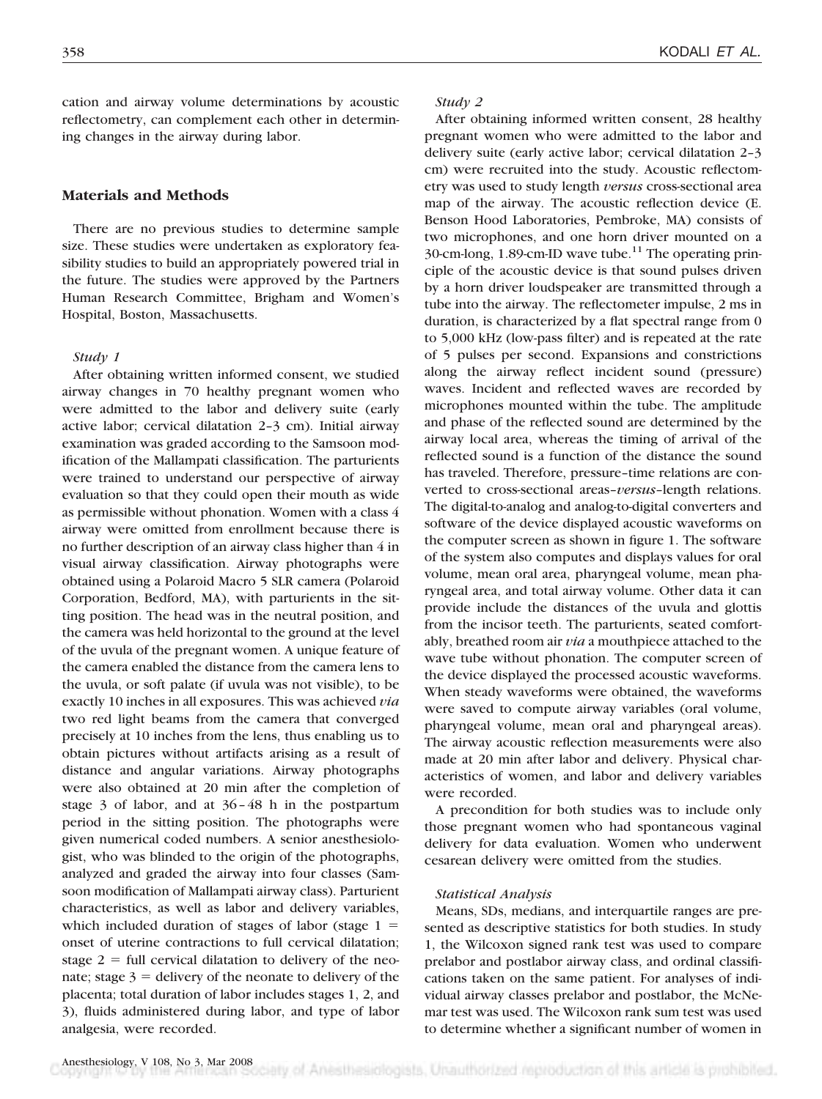cation and airway volume determinations by acoustic reflectometry, can complement each other in determining changes in the airway during labor.

# **Materials and Methods**

There are no previous studies to determine sample size. These studies were undertaken as exploratory feasibility studies to build an appropriately powered trial in the future. The studies were approved by the Partners Human Research Committee, Brigham and Women's Hospital, Boston, Massachusetts.

### *Study 1*

After obtaining written informed consent, we studied airway changes in 70 healthy pregnant women who were admitted to the labor and delivery suite (early active labor; cervical dilatation 2–3 cm). Initial airway examination was graded according to the Samsoon modification of the Mallampati classification. The parturients were trained to understand our perspective of airway evaluation so that they could open their mouth as wide as permissible without phonation. Women with a class 4 airway were omitted from enrollment because there is no further description of an airway class higher than 4 in visual airway classification. Airway photographs were obtained using a Polaroid Macro 5 SLR camera (Polaroid Corporation, Bedford, MA), with parturients in the sitting position. The head was in the neutral position, and the camera was held horizontal to the ground at the level of the uvula of the pregnant women. A unique feature of the camera enabled the distance from the camera lens to the uvula, or soft palate (if uvula was not visible), to be exactly 10 inches in all exposures. This was achieved *via* two red light beams from the camera that converged precisely at 10 inches from the lens, thus enabling us to obtain pictures without artifacts arising as a result of distance and angular variations. Airway photographs were also obtained at 20 min after the completion of stage 3 of labor, and at 36–48 h in the postpartum period in the sitting position. The photographs were given numerical coded numbers. A senior anesthesiologist, who was blinded to the origin of the photographs, analyzed and graded the airway into four classes (Samsoon modification of Mallampati airway class). Parturient characteristics, as well as labor and delivery variables, which included duration of stages of labor (stage  $1 =$ onset of uterine contractions to full cervical dilatation; stage  $2 = \text{full}$  cervical dilatation to delivery of the neonate; stage  $3 =$  delivery of the neonate to delivery of the placenta; total duration of labor includes stages 1, 2, and 3), fluids administered during labor, and type of labor analgesia, were recorded.

#### *Study 2*

After obtaining informed written consent, 28 healthy pregnant women who were admitted to the labor and delivery suite (early active labor; cervical dilatation 2–3 cm) were recruited into the study. Acoustic reflectometry was used to study length *versus* cross-sectional area map of the airway. The acoustic reflection device (E. Benson Hood Laboratories, Pembroke, MA) consists of two microphones, and one horn driver mounted on a 30-cm-long, 1.89-cm-ID wave tube.<sup>11</sup> The operating principle of the acoustic device is that sound pulses driven by a horn driver loudspeaker are transmitted through a tube into the airway. The reflectometer impulse, 2 ms in duration, is characterized by a flat spectral range from 0 to 5,000 kHz (low-pass filter) and is repeated at the rate of 5 pulses per second. Expansions and constrictions along the airway reflect incident sound (pressure) waves. Incident and reflected waves are recorded by microphones mounted within the tube. The amplitude and phase of the reflected sound are determined by the airway local area, whereas the timing of arrival of the reflected sound is a function of the distance the sound has traveled. Therefore, pressure–time relations are converted to cross-sectional areas–*versus*–length relations. The digital-to-analog and analog-to-digital converters and software of the device displayed acoustic waveforms on the computer screen as shown in figure 1. The software of the system also computes and displays values for oral volume, mean oral area, pharyngeal volume, mean pharyngeal area, and total airway volume. Other data it can provide include the distances of the uvula and glottis from the incisor teeth. The parturients, seated comfortably, breathed room air *via* a mouthpiece attached to the wave tube without phonation. The computer screen of the device displayed the processed acoustic waveforms. When steady waveforms were obtained, the waveforms were saved to compute airway variables (oral volume, pharyngeal volume, mean oral and pharyngeal areas). The airway acoustic reflection measurements were also made at 20 min after labor and delivery. Physical characteristics of women, and labor and delivery variables were recorded.

A precondition for both studies was to include only those pregnant women who had spontaneous vaginal delivery for data evaluation. Women who underwent cesarean delivery were omitted from the studies.

#### *Statistical Analysis*

Means, SDs, medians, and interquartile ranges are presented as descriptive statistics for both studies. In study 1, the Wilcoxon signed rank test was used to compare prelabor and postlabor airway class, and ordinal classifications taken on the same patient. For analyses of individual airway classes prelabor and postlabor, the McNemar test was used. The Wilcoxon rank sum test was used to determine whether a significant number of women in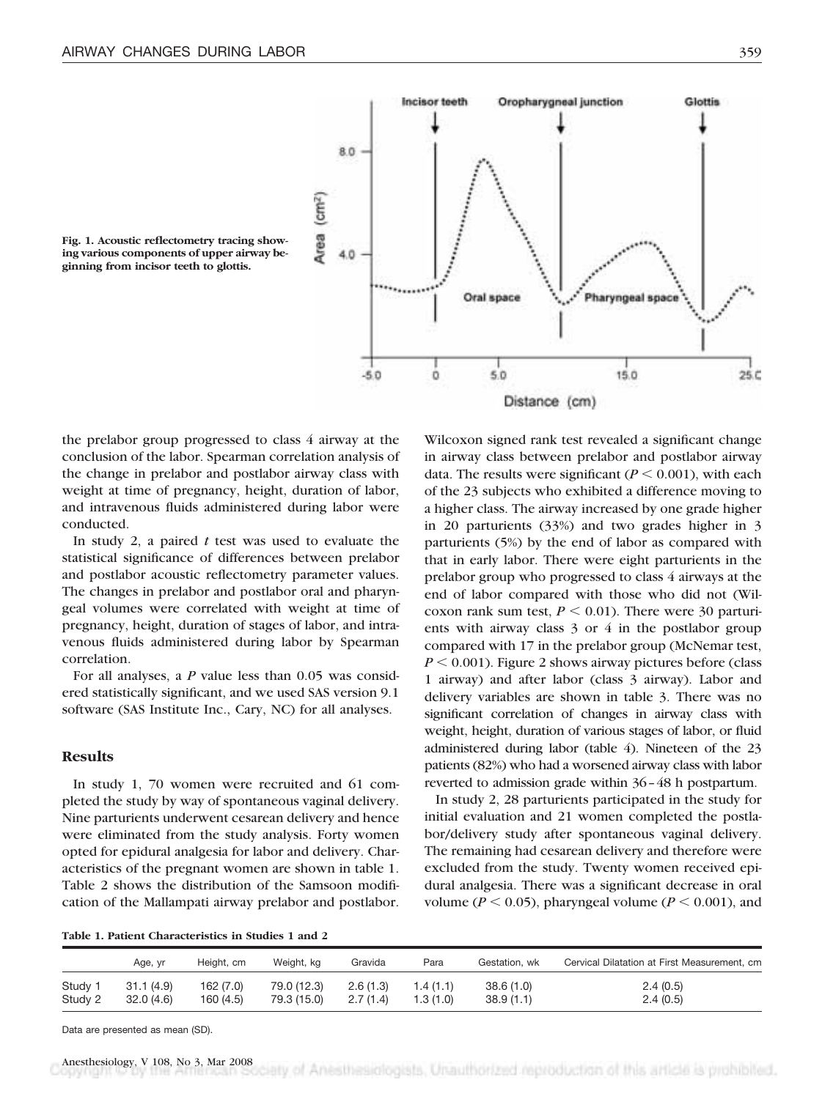

**Fig. 1. Acoustic reflectometry tracing showing various components of upper airway beginning from incisor teeth to glottis.**

the prelabor group progressed to class 4 airway at the conclusion of the labor. Spearman correlation analysis of the change in prelabor and postlabor airway class with weight at time of pregnancy, height, duration of labor, and intravenous fluids administered during labor were conducted.

In study 2, a paired *t* test was used to evaluate the statistical significance of differences between prelabor and postlabor acoustic reflectometry parameter values. The changes in prelabor and postlabor oral and pharyngeal volumes were correlated with weight at time of pregnancy, height, duration of stages of labor, and intravenous fluids administered during labor by Spearman correlation.

For all analyses, a *P* value less than 0.05 was considered statistically significant, and we used SAS version 9.1 software (SAS Institute Inc., Cary, NC) for all analyses.

# **Results**

In study 1, 70 women were recruited and 61 completed the study by way of spontaneous vaginal delivery. Nine parturients underwent cesarean delivery and hence were eliminated from the study analysis. Forty women opted for epidural analgesia for labor and delivery. Characteristics of the pregnant women are shown in table 1. Table 2 shows the distribution of the Samsoon modification of the Mallampati airway prelabor and postlabor.

Wilcoxon signed rank test revealed a significant change in airway class between prelabor and postlabor airway data. The results were significant  $(P \le 0.001)$ , with each of the 23 subjects who exhibited a difference moving to a higher class. The airway increased by one grade higher in 20 parturients (33%) and two grades higher in 3 parturients (5%) by the end of labor as compared with that in early labor. There were eight parturients in the prelabor group who progressed to class 4 airways at the end of labor compared with those who did not (Wilcoxon rank sum test,  $P \le 0.01$ ). There were 30 parturients with airway class 3 or 4 in the postlabor group compared with 17 in the prelabor group (McNemar test,  $P < 0.001$ ). Figure 2 shows airway pictures before (class 1 airway) and after labor (class 3 airway). Labor and delivery variables are shown in table 3. There was no significant correlation of changes in airway class with weight, height, duration of various stages of labor, or fluid administered during labor (table 4). Nineteen of the 23 patients (82%) who had a worsened airway class with labor reverted to admission grade within 36–48 h postpartum.

In study 2, 28 parturients participated in the study for initial evaluation and 21 women completed the postlabor/delivery study after spontaneous vaginal delivery. The remaining had cesarean delivery and therefore were excluded from the study. Twenty women received epidural analgesia. There was a significant decrease in oral volume ( $P \le 0.05$ ), pharyngeal volume ( $P \le 0.001$ ), and

**Table 1. Patient Characteristics in Studies 1 and 2**

|         | Age, yr   | Height, cm | Weight, kg  | Gravida  | Para      | Gestation, wk | Cervical Dilatation at First Measurement, cm |
|---------|-----------|------------|-------------|----------|-----------|---------------|----------------------------------------------|
| Study 1 | 31.1(4.9) | 162 (7.0)  | 79.0 (12.3) | 2.6(1.3) | 1.4 (1.1) | 38.6(1.0)     | 2.4(0.5)                                     |
| Study 2 | 32.0(4.6) | 160 (4.5)  | 79.3 (15.0) | 2.7(1.4) | 1.3(1.0)  | 38.9(1.1)     | 2.4(0.5)                                     |

Data are presented as mean (SD).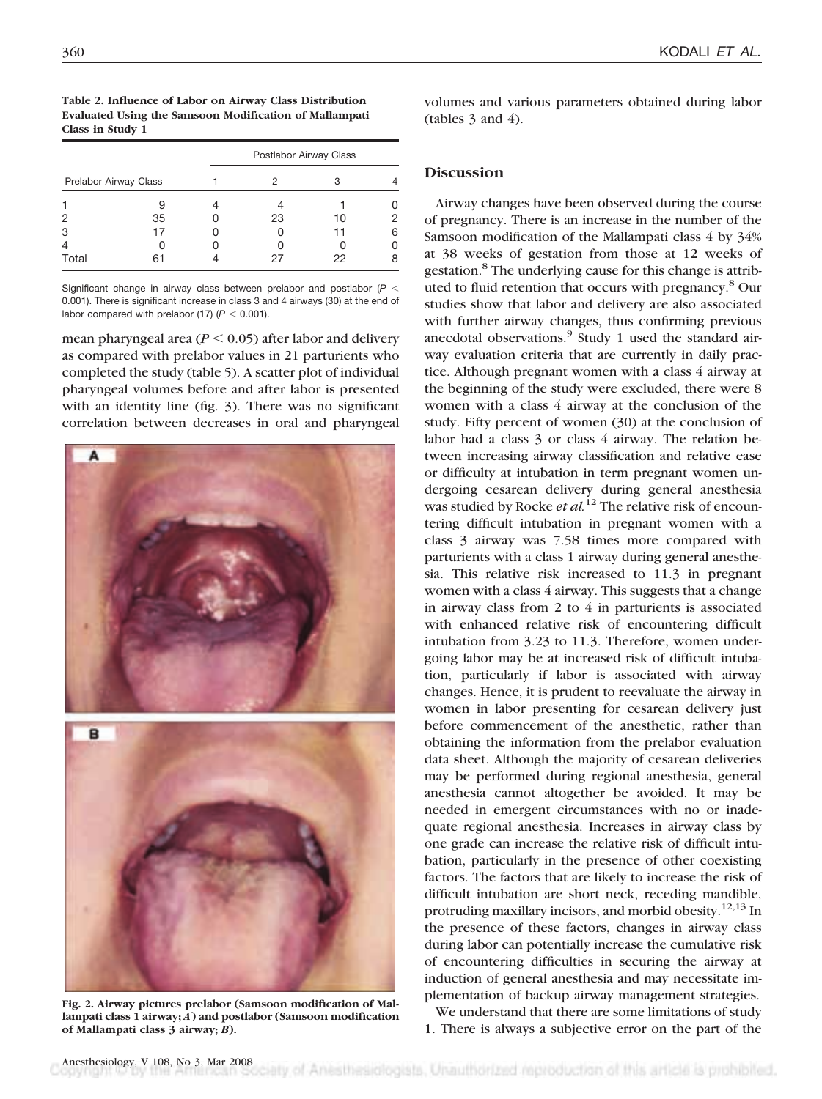| Table 2. Influence of Labor on Airway Class Distribution |
|----------------------------------------------------------|
| Evaluated Using the Samsoon Modification of Mallampati   |
| Class in Study 1                                         |

|                       |    | Postlabor Airway Class |    |    |  |  |
|-----------------------|----|------------------------|----|----|--|--|
| Prelabor Airway Class |    |                        | З  |    |  |  |
|                       | 9  |                        |    |    |  |  |
| 2                     | 35 | 23                     | 10 |    |  |  |
| 3                     |    |                        | 11 | ิค |  |  |
| $\overline{4}$        |    |                        |    |    |  |  |
| Total                 |    |                        | 22 |    |  |  |

Significant change in airway class between prelabor and postlabor  $(P <$ 0.001). There is significant increase in class 3 and 4 airways (30) at the end of labor compared with prelabor  $(17)$   $(P < 0.001)$ .

mean pharyngeal area  $(P < 0.05)$  after labor and delivery as compared with prelabor values in 21 parturients who completed the study (table 5). A scatter plot of individual pharyngeal volumes before and after labor is presented with an identity line (fig. 3). There was no significant correlation between decreases in oral and pharyngeal



**Fig. 2. Airway pictures prelabor (Samsoon modification of Mallampati class 1 airway;** *A***) and postlabor (Samsoon modification of Mallampati class 3 airway;** *B***).**

## **Discussion**

Airway changes have been observed during the course of pregnancy. There is an increase in the number of the Samsoon modification of the Mallampati class 4 by 34% at 38 weeks of gestation from those at 12 weeks of gestation.<sup>8</sup> The underlying cause for this change is attributed to fluid retention that occurs with pregnancy.8 Our studies show that labor and delivery are also associated with further airway changes, thus confirming previous anecdotal observations.<sup>9</sup> Study 1 used the standard airway evaluation criteria that are currently in daily practice. Although pregnant women with a class 4 airway at the beginning of the study were excluded, there were 8 women with a class 4 airway at the conclusion of the study. Fifty percent of women (30) at the conclusion of labor had a class 3 or class 4 airway. The relation between increasing airway classification and relative ease or difficulty at intubation in term pregnant women undergoing cesarean delivery during general anesthesia was studied by Rocke *et al.*<sup>12</sup> The relative risk of encountering difficult intubation in pregnant women with a class 3 airway was 7.58 times more compared with parturients with a class 1 airway during general anesthesia. This relative risk increased to 11.3 in pregnant women with a class 4 airway. This suggests that a change in airway class from 2 to 4 in parturients is associated with enhanced relative risk of encountering difficult intubation from 3.23 to 11.3. Therefore, women undergoing labor may be at increased risk of difficult intubation, particularly if labor is associated with airway changes. Hence, it is prudent to reevaluate the airway in women in labor presenting for cesarean delivery just before commencement of the anesthetic, rather than obtaining the information from the prelabor evaluation data sheet. Although the majority of cesarean deliveries may be performed during regional anesthesia, general anesthesia cannot altogether be avoided. It may be needed in emergent circumstances with no or inadequate regional anesthesia. Increases in airway class by one grade can increase the relative risk of difficult intubation, particularly in the presence of other coexisting factors. The factors that are likely to increase the risk of difficult intubation are short neck, receding mandible, protruding maxillary incisors, and morbid obesity.<sup>12,13</sup> In the presence of these factors, changes in airway class during labor can potentially increase the cumulative risk of encountering difficulties in securing the airway at induction of general anesthesia and may necessitate implementation of backup airway management strategies.

We understand that there are some limitations of study 1. There is always a subjective error on the part of the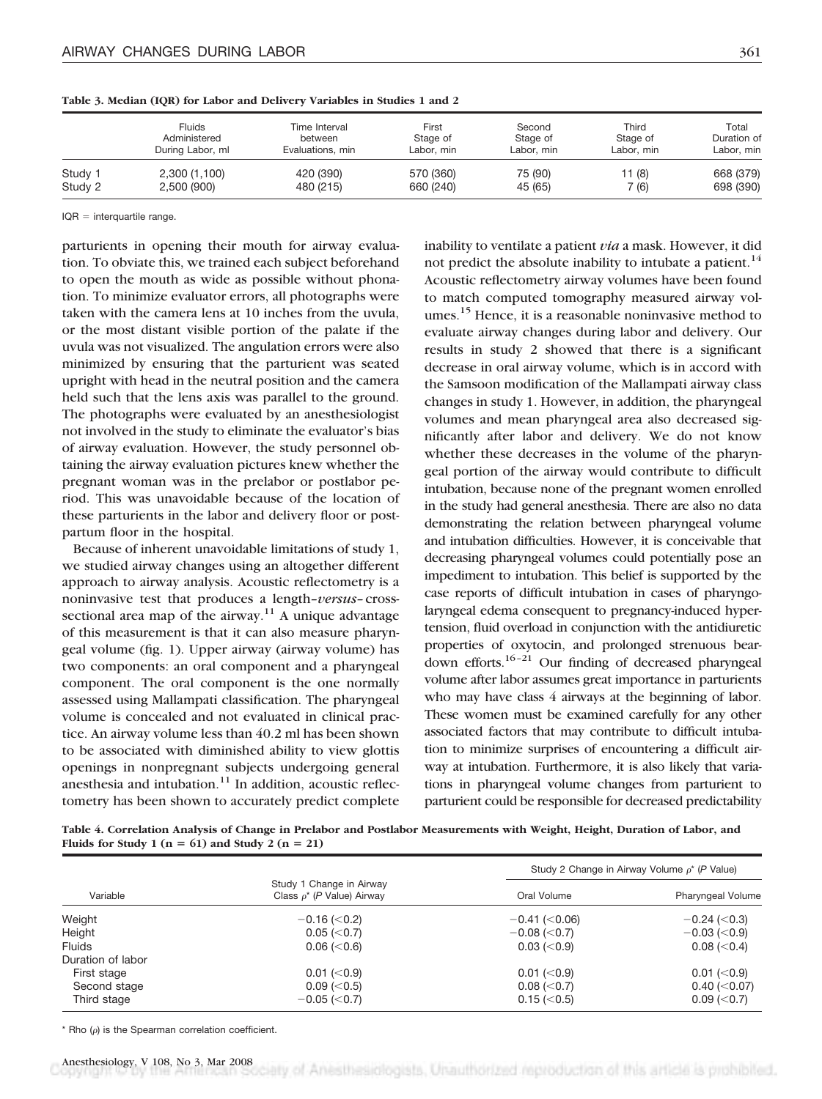|         | Fluids           | Time Interval    | First      | Second     | Third      | Total       |
|---------|------------------|------------------|------------|------------|------------|-------------|
|         | Administered     | between          | Stage of   | Stage of   | Stage of   | Duration of |
|         | During Labor, ml | Evaluations, min | Labor, min | Labor, min | Labor, min | Labor, min  |
| Study 1 | 2,300 (1,100)    | 420 (390)        | 570 (360)  | 75 (90)    | 11 (8)     | 668 (379)   |
| Study 2 | 2,500 (900)      | 480 (215)        | 660 (240)  | 45 (65)    | 7 (6)      | 698 (390)   |

**Table 3. Median (IQR) for Labor and Delivery Variables in Studies 1 and 2**

 $IOR = interquartile range.$ 

parturients in opening their mouth for airway evaluation. To obviate this, we trained each subject beforehand to open the mouth as wide as possible without phonation. To minimize evaluator errors, all photographs were taken with the camera lens at 10 inches from the uvula, or the most distant visible portion of the palate if the uvula was not visualized. The angulation errors were also minimized by ensuring that the parturient was seated upright with head in the neutral position and the camera held such that the lens axis was parallel to the ground. The photographs were evaluated by an anesthesiologist not involved in the study to eliminate the evaluator's bias of airway evaluation. However, the study personnel obtaining the airway evaluation pictures knew whether the pregnant woman was in the prelabor or postlabor period. This was unavoidable because of the location of these parturients in the labor and delivery floor or postpartum floor in the hospital.

Because of inherent unavoidable limitations of study 1, we studied airway changes using an altogether different approach to airway analysis. Acoustic reflectometry is a noninvasive test that produces a length–*versus*–crosssectional area map of the airway.<sup>11</sup> A unique advantage of this measurement is that it can also measure pharyngeal volume (fig. 1). Upper airway (airway volume) has two components: an oral component and a pharyngeal component. The oral component is the one normally assessed using Mallampati classification. The pharyngeal volume is concealed and not evaluated in clinical practice. An airway volume less than 40.2 ml has been shown to be associated with diminished ability to view glottis openings in nonpregnant subjects undergoing general anesthesia and intubation. $11$  In addition, acoustic reflectometry has been shown to accurately predict complete inability to ventilate a patient *via* a mask. However, it did not predict the absolute inability to intubate a patient.<sup>14</sup> Acoustic reflectometry airway volumes have been found to match computed tomography measured airway volumes.<sup>15</sup> Hence, it is a reasonable noninvasive method to evaluate airway changes during labor and delivery. Our results in study 2 showed that there is a significant decrease in oral airway volume, which is in accord with the Samsoon modification of the Mallampati airway class changes in study 1. However, in addition, the pharyngeal volumes and mean pharyngeal area also decreased significantly after labor and delivery. We do not know whether these decreases in the volume of the pharyngeal portion of the airway would contribute to difficult intubation, because none of the pregnant women enrolled in the study had general anesthesia. There are also no data demonstrating the relation between pharyngeal volume and intubation difficulties. However, it is conceivable that decreasing pharyngeal volumes could potentially pose an impediment to intubation. This belief is supported by the case reports of difficult intubation in cases of pharyngolaryngeal edema consequent to pregnancy-induced hypertension, fluid overload in conjunction with the antidiuretic properties of oxytocin, and prolonged strenuous beardown efforts.<sup>16-21</sup> Our finding of decreased pharyngeal volume after labor assumes great importance in parturients who may have class 4 airways at the beginning of labor. These women must be examined carefully for any other associated factors that may contribute to difficult intubation to minimize surprises of encountering a difficult airway at intubation. Furthermore, it is also likely that variations in pharyngeal volume changes from parturient to parturient could be responsible for decreased predictability

**Table 4. Correlation Analysis of Change in Prelabor and Postlabor Measurements with Weight, Height, Duration of Labor, and Fluids for Study 1 (n = 61) and Study 2 (n = 21)** 

|                   |                                                             | Study 2 Change in Airway Volume $\rho^*$ (P Value) |                     |  |
|-------------------|-------------------------------------------------------------|----------------------------------------------------|---------------------|--|
| Variable          | Study 1 Change in Airway<br>Class $\rho^*$ (P Value) Airway | Oral Volume                                        | Pharyngeal Volume   |  |
| Weight            | $-0.16 \approx 0.2$                                         | $-0.41$ ( $< 0.06$ )                               | $-0.24$ ( $<$ 0.3)  |  |
| Height            | $0.05 \, (< 0.7)$                                           | $-0.08$ ( $<$ 0.7)                                 | $-0.03$ ( $<$ 0.9)  |  |
| <b>Fluids</b>     | $0.06 \, (< 0.6)$                                           | $0.03 \,(< 0.9)$                                   | $0.08 \, (< 0.4)$   |  |
| Duration of labor |                                                             |                                                    |                     |  |
| First stage       | 0.01 (< 0.9)                                                | 0.01 (< 0.9)                                       | $0.01 \,(< \, 0.9)$ |  |
| Second stage      | $0.09 \, (< 0.5)$                                           | 0.08 (< 0.7)                                       | $0.40$ ( $<$ 0.07)  |  |
| Third stage       | $-0.05$ ( $<$ 0.7)                                          | $0.15 \, (< 0.5)$                                  | $0.09$ ( $< 0.7$ )  |  |

 $*$  Rho ( $\rho$ ) is the Spearman correlation coefficient.